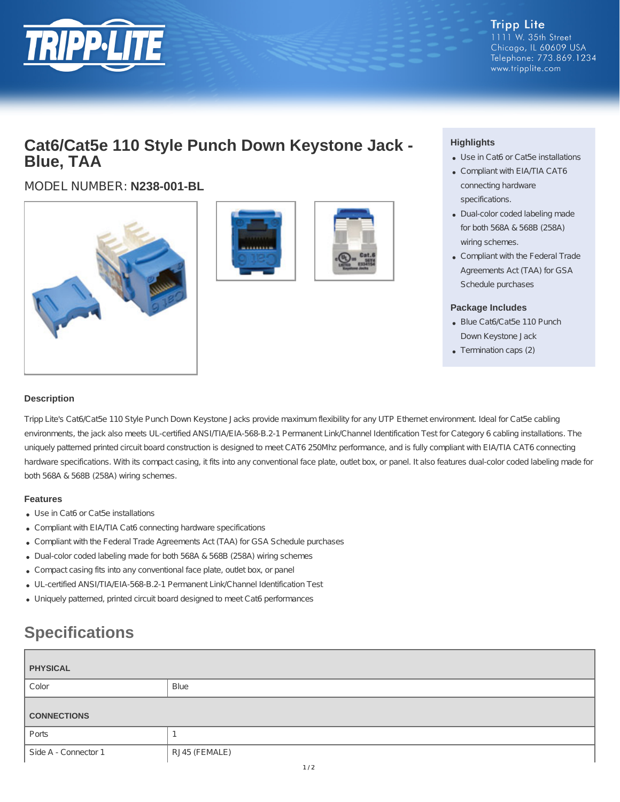

**Tripp Lite** 1111 W. 35th Street Chicago, IL 60609 USA Telephone: 773.869.1234 www.tripplite.com

## **Cat6/Cat5e 110 Style Punch Down Keystone Jack - Blue, TAA**

MODEL NUMBER: **N238-001-BL**







### **Highlights**

- Use in Cat6 or Cat5e installations
- Compliant with EIA/TIA CAT6 connecting hardware specifications.
- Dual-color coded labeling made for both 568A & 568B (258A) wiring schemes.
- Compliant with the Federal Trade Agreements Act (TAA) for GSA Schedule purchases

#### **Package Includes**

- Blue Cat6/Cat5e 110 Punch Down Keystone Jack
- Termination caps (2)

#### **Description**

Tripp Lite's Cat6/Cat5e 110 Style Punch Down Keystone Jacks provide maximum flexibility for any UTP Ethernet environment. Ideal for Cat5e cabling environments, the jack also meets UL-certified ANSI/TIA/EIA-568-B.2-1 Permanent Link/Channel Identification Test for Category 6 cabling installations. The uniquely patterned printed circuit board construction is designed to meet CAT6 250Mhz performance, and is fully compliant with EIA/TIA CAT6 connecting hardware specifications. With its compact casing, it fits into any conventional face plate, outlet box, or panel. It also features dual-color coded labeling made for both 568A & 568B (258A) wiring schemes.

#### **Features**

- Use in Cat6 or Cat5e installations
- Compliant with EIA/TIA Cat6 connecting hardware specifications
- Compliant with the Federal Trade Agreements Act (TAA) for GSA Schedule purchases
- Dual-color coded labeling made for both 568A & 568B (258A) wiring schemes
- Compact casing fits into any conventional face plate, outlet box, or panel
- UL-certified ANSI/TIA/EIA-568-B.2-1 Permanent Link/Channel Identification Test
- Uniquely patterned, printed circuit board designed to meet Cat6 performances

# **Specifications**

| <b>PHYSICAL</b>    |      |
|--------------------|------|
| Color              | Blue |
| <b>CONNECTIONS</b> |      |
|                    |      |
| Ports              |      |